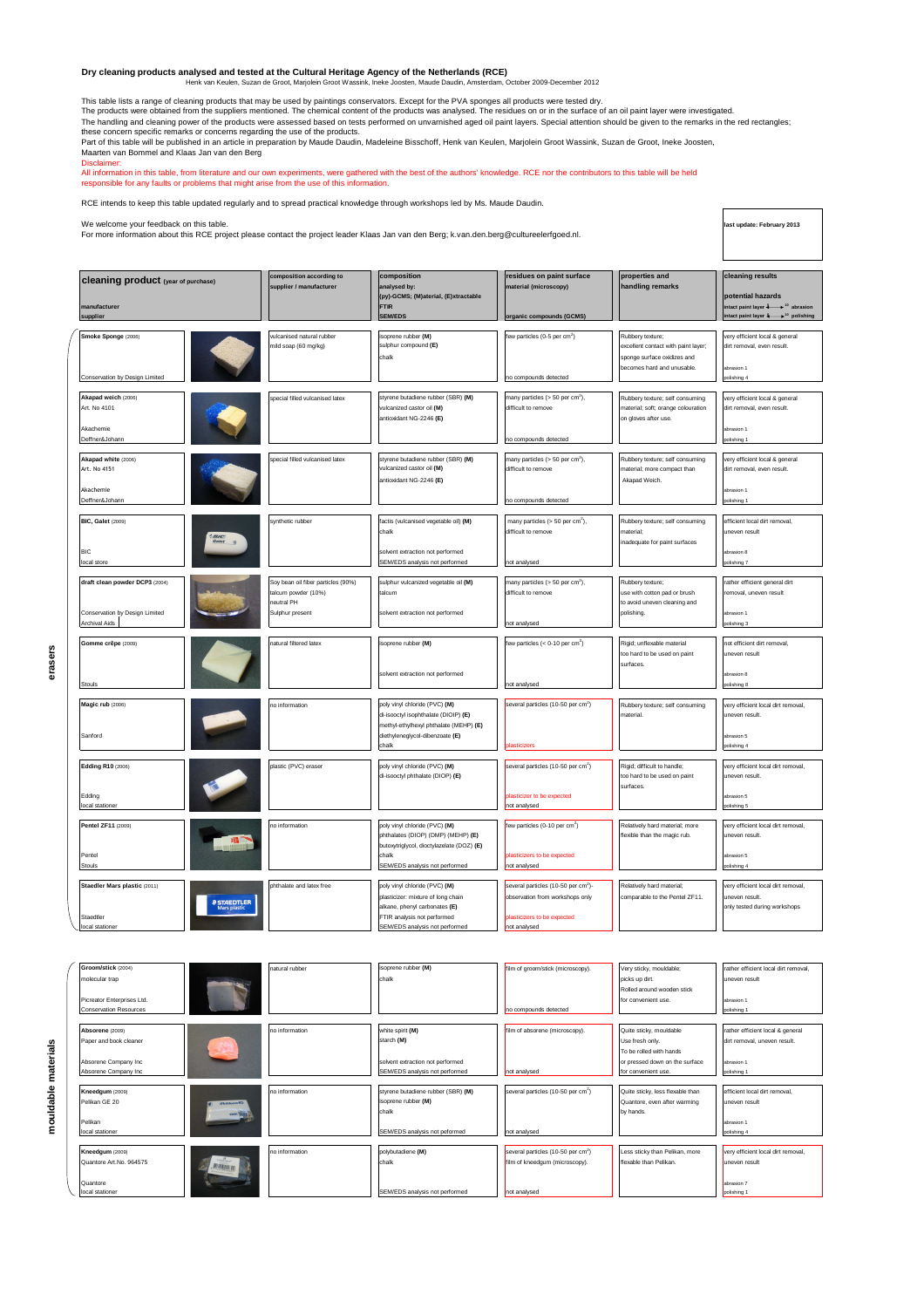## Dry cleaning products analysed and tested at the Cultural Heritage Agency of the Netherlands (RCE)<br>Henk van Keulen, Suzan de Groot, Marjolein Groot Wassink, Ineke Joosten, Maude Daudin, Amsterdam, October 2009-December 201

This table lists a range of cleaning products that may be used by paintings conservators. Except for the PVA sponges all products were tested dry.<br>The products were obtained from the suppliers mentioned. The chemical conte these concern specific remarks or concerns regarding the use of the products.<br>Part of this table will be published in an article in preparation by Maude Daudin, Madeleine Bisschoff, Henk van Keulen, Marjolein Groot Wassink

Maarten van Bommel and Klaas Jan van den Berg Disclaimer:

All information in this table, from literature and our own experiments, were gathered with the best of the authors' knowledge. RCE nor the contributors to this table will be held<br>responsible for any faults or problems that

RCE intends to keep this table updated regularly and to spread practical knowledge through workshops led by Ms. Maude Daudin.

| We welcome your feedback on this table.<br>For more information about this RCE project please contact the project leader Klaas Jan van den Berg; k.van.den.berg@cultureelerfgoed.nl. |                                                                                          |                                                                                                                                                                       |                                                                                                                                   |                                                                                                                    |                                                                                                                    |
|--------------------------------------------------------------------------------------------------------------------------------------------------------------------------------------|------------------------------------------------------------------------------------------|-----------------------------------------------------------------------------------------------------------------------------------------------------------------------|-----------------------------------------------------------------------------------------------------------------------------------|--------------------------------------------------------------------------------------------------------------------|--------------------------------------------------------------------------------------------------------------------|
| <b>cleaning product</b> (year of purchase)<br>nanufacturer<br>supplier                                                                                                               | composition according to<br>supplier / manufacturer                                      | composition<br>analysed by:<br>(py)-GCMS; (M)aterial, (E)xtractable<br><b>FTIR</b><br><b>SEM/EDS</b>                                                                  | residues on paint surface<br>naterial (microscopy)<br>organic compounds (GCMS)                                                    | properties and<br>handling remarks                                                                                 | cleaning results<br>potential hazards<br>act paint layer 4 <sup>10</sup> abrasion<br>tact paint laver \$ polishing |
| Smoke Sponge (2006)<br>Conservation by Design Limited                                                                                                                                | vulcanised natural rubber<br>nild soap (60 mg/kg)                                        | isoprene rubber (M)<br>sulphur compound (E)<br>chalk                                                                                                                  | ew particles (0-5 per $cm2$ )<br>no compounds detected                                                                            | Rubbery texture;<br>excellent contact with paint layer;<br>sponge surface oxidizes and<br>ecomes hard and unusable | very efficient local & general<br>dirt removal, even result.<br>abrasion 1<br>polishing 4                          |
| Akapad weich (2006)<br>Art. No 4101<br>Akachemie<br>Deffner&Johann                                                                                                                   | pecial filled vulcanised latex                                                           | styrene butadiene rubber (SBR) (M)<br>ulcanized castor oil (M)<br>antioxidant NG-2246 (E)                                                                             | nany particles (> 50 per cm <sup>2</sup> ),<br>difficult to remove<br>no compounds detected                                       | Rubbery texture; self consuming<br>naterial; soft; orange colouration<br>on gloves after use.                      | ery efficient local & general<br>dirt removal, even result.<br>abrasion 1<br>olishing 1                            |
| Akapad white (2006)<br>Art. No 4151<br><b>Akachemie</b><br>Deffner&Johann                                                                                                            | special filled vulcanised latex                                                          | styrene butadiene rubber (SBR) (M)<br>vulcanized castor oil (M)<br>antioxidant NG-2246 (E)                                                                            | many particles (> 50 per cm <sup>2</sup> ),<br>difficult to remove<br>no compounds detected                                       | Rubbery texture; self consuming<br>naterial: more compact than<br>Akapad Weich.                                    | very efficient local & general<br>dirt removal, even result.<br>brasion 1<br>plishing ·                            |
| <b>BIC, Galet (2009)</b><br>$\frac{BIC}{Galet}$<br>BIC.<br>local store                                                                                                               | synthetic rubber                                                                         | factis (vulcanised vegetable oil) (M)<br>chalk<br>solvent extraction not performed<br>SEM/EDS analysis not performed                                                  | many particles (> 50 per $cm2$ ),<br>difficult to remove<br>ot analysed                                                           | Rubbery texture; self consuming<br>material:<br>inadequate for paint surfaces                                      | efficient local dirt removal,<br>uneven result<br>sbrasion 8<br>lishing 7                                          |
| draft clean powder DCP3 (2004)<br>Conservation by Design Limited<br><b>Archival Aids</b>                                                                                             | Soy bean oil fiber particles (90%)<br>alcum powder (10%)<br>eutral PH<br>Sulphur present | sulphur vulcanized vegetable oil (M)<br>talcum<br>solvent extraction not performed                                                                                    | nany particles (> 50 per cm <sup>2</sup> ),<br>difficult to remove<br>not analysed                                                | Rubbery texture;<br>use with cotton pad or brush<br>to avoid uneven cleaning and<br>polishing                      | ather efficient general dirt<br>removal, uneven result<br>abrasion 1<br>olishing 3                                 |
| Gomme crêpe (2009)<br>Stouls                                                                                                                                                         | atural filtered latex                                                                    | isoprene rubber (M)<br>solvent extraction not performed                                                                                                               | lew particles $(< 0.10$ per cm <sup>2</sup> )<br>not analysed                                                                     | Rigid; unflexable material<br>too hard to be used on paint<br>surfaces.                                            | not efficient dirt removal,<br>uneven result<br>brasion 8<br>olishing 8                                            |
| Magic rub (2006)<br>Sanford                                                                                                                                                          | o information                                                                            | poly vinyl chloride (PVC) (M)<br>di-isooctyl isophthalate (DIOIP) (E)<br>methyl-ethylhexyl phthalate (MEHP) (E)<br>diethyleneglycol-dibenzoate (E)<br>chalk           | several particles (10-50 per cm <sup>2</sup> )<br>lasticizers                                                                     | Rubbery texture; self consuming<br>naterial.                                                                       | very efficient local dirt removal,<br>uneven result.<br>abrasion 5<br>olishing 4                                   |
| <b>Edding R10 (2006)</b><br>Edding<br>local stationer                                                                                                                                | plastic (PVC) eraser                                                                     | poly vinyl chloride (PVC) (M)<br>di-isooctyl phthalate (DIOP) (E)                                                                                                     | several particles (10-50 per cm <sup>2</sup> )<br>lasticizer to be expected<br>not analysed                                       | Rigid; difficult to handle;<br>too hard to be used on paint<br>surfaces.                                           | very efficient local dirt removal.<br>uneven result.<br>brasion 5<br>polishing 5                                   |
| Pentel ZF11 (2009)<br>Pentel<br>Stouls                                                                                                                                               | no information                                                                           | poly vinyl chloride (PVC) (M)<br>phthalates (DIOP) (DMP) (MEHP) (E)<br>butoxytriglycol, dioctylazelate (DOZ) (E)<br>chalk<br>SEM/EDS analysis not performed           | few particles $(0.10 \text{ per cm}^2)$<br>lasticizers to be expected<br>not analysed                                             | Relatively hard material; more<br>flexible than the magic rub.                                                     | very efficient local dirt removal,<br>uneven result.<br>hrasion 5<br>lishing 4                                     |
| Staedler Mars plastic (2011)<br><b>@ STAEDTLER</b><br>Mars plastic<br>Staedtler<br>local stationer                                                                                   | ohthalate and latex free                                                                 | poly vinyl chloride (PVC) (M)<br>plasticizer: mixture of long chain<br>alkane, phenyl carbonates (E)<br>FTIR analysis not performed<br>SEM/EDS analysis not performed | several particles (10-50 per cm <sup>2</sup> )-<br>observation from workshops only<br>plasticizers to be expected<br>not analysed | Relatively hard material;<br>comparable to the Pentel ZF11.                                                        | very efficient local dirt removal,<br>uneven result.<br>only tested during workshops                               |

**oom/stick** (2004) natural rubber isoprene rubber (M) film of groom/stick (microscopy). Very sticky, mouldable; rather efficient local dirt removal, molecular trap chalk picks up dirt. Uneven result that we chalk the chalk picks up dirt. Uneven result rans up und<br>Rolled around wooden stick Picreator Enterprises Ltd. **For a convenient use.** Abrasion 1 abrasion 1 abrasion 1 abrasion 1 abrasion 1 abrasion 1 Conservation Resources **no conservation Resources** no compounds detected polishing 1 Absorene (2009) **notice absortion** and information white spirit **(M)** film of absorene (microscopy). Quite sticky, mouldable rather efficient local & general Paper and book cleaner starch (M) and the starch (M) and the starch (M) Use fresh only. The starch (M) of the starch (M) Use fresh only. The starch (M) of the starch (M) and the starch (M) Use fresh only. The starch (M) of To be rolled with hands a rolled with hands a rolled with hands a rolled with hands a rolled with hands a rolled with hands a rolled with hands a rolled with hands a rolled with a rolled with a rolled with a rolled with a Absorption Company Inc SEM/EDS analysis not performed include analysis not performed for convenient use. polishing 10 analysed for convenient use. **Reedgum** (2009) **no information** styrene butadiene rubber (SBR) **(M)** several particles (10-50 per cm<sup>2</sup>) several particles (10-50 per cm<sup>2</sup>) ) Quite sticky, less flexable than efficient local dirt removal, Pelikan GE 20 **isoprene rubber (M)** isoprene rubber **(M)** isoprene rubber (M) and the varming uneven result chalk by hands. Pelikan abrasion 1 abrasion 1 abrasion 1 abrasion 1 abrasion 1 abrasion 1 abrasion 1 abrasion 1 abrasion 1 abrasion 1 local stationer SEM/EDS analysis not peformed not analysed polishing 4 **Kneedgum** (2009) **no information** polybutadiene (M) several particles (10-50 per cm<sup>2</sup>) ess sticky than Pelikan, more very efficient local dirt rem uantore Art.No. 964575 chalk film of kneedgum (microscopy). flexable than Pelikan. uneven result Quantore **abrasion 7** abrasion 7 abrasion 7 abrasion 7 abrasion 7 abrasion 7 abrasion 7 abrasion 7 abrasion 7 abrasion 7 local stationer and the second stationer SEM/EDS analysis not performed not analysed polishing 1 and the polishing 1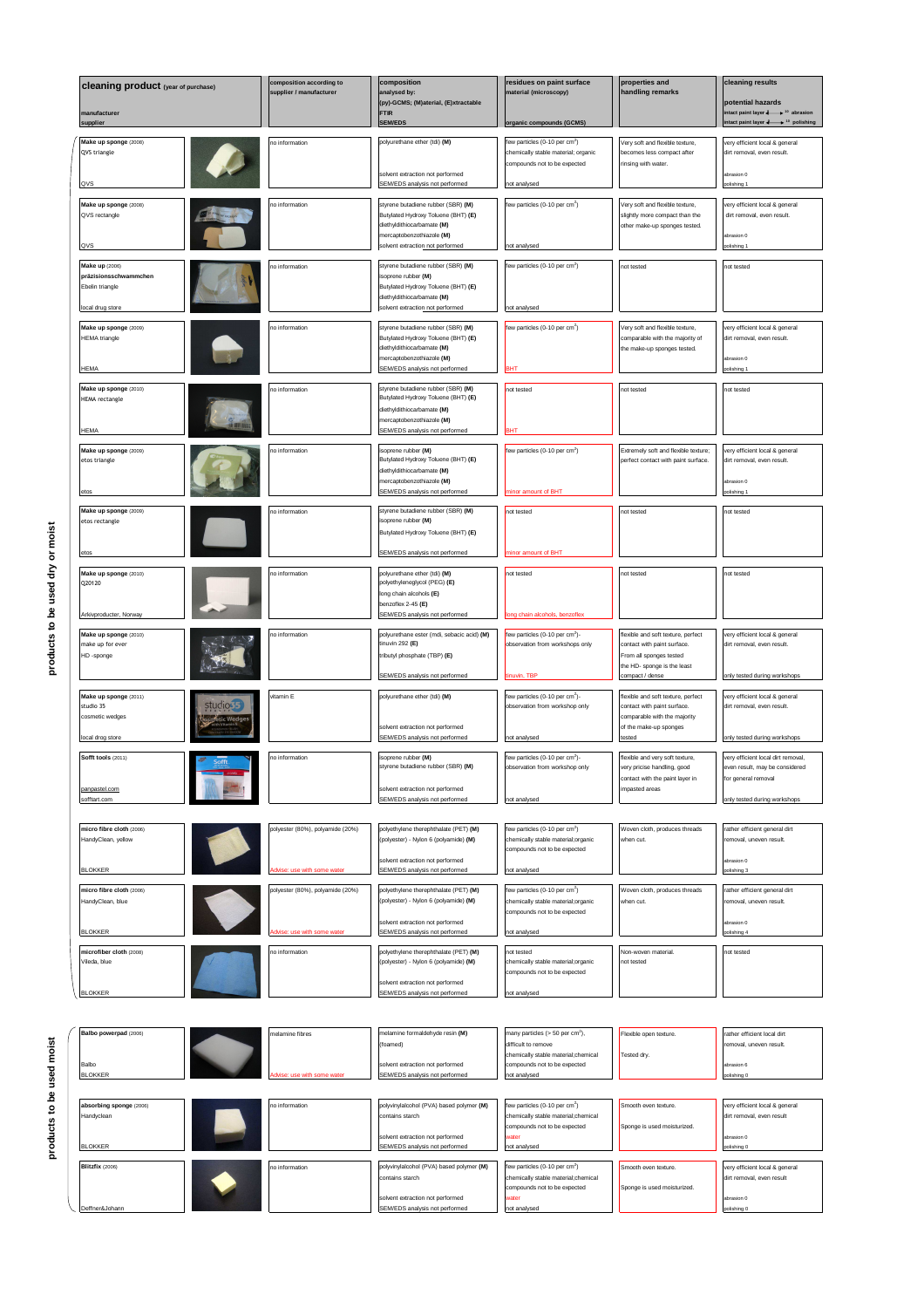| <b>Cleaning product</b> (year of purchase)<br>manufacturer | omposition according to<br>supplier / manufacturer | composition<br>analysed by:<br>(py)-GCMS; (M)aterial, (E)xtractable<br><b>FTIR</b><br><b>SEM/EDS</b> | esidues on paint surface<br>material (microscopy)<br>rganic compounds (GCMS)     | properties and<br>handling remarks                               | cleaning results<br>potential hazards<br>tact paint layer - <sup>10</sup> abrasion<br>tact paint layer $4 \rightarrow 10$ polishing |
|------------------------------------------------------------|----------------------------------------------------|------------------------------------------------------------------------------------------------------|----------------------------------------------------------------------------------|------------------------------------------------------------------|-------------------------------------------------------------------------------------------------------------------------------------|
| supplier                                                   |                                                    |                                                                                                      |                                                                                  |                                                                  |                                                                                                                                     |
| Make up sponge (2008)<br>QVS triangle                      | o information                                      | polyurethane ether (tdi) (M)                                                                         | lew particles (0-10 per cm <sup>2</sup> )<br>chemically stable material; organic | Very soft and flexible texture,<br>becomes less compact after    | very efficient local & general<br>dirt removal, even result.                                                                        |
| QVS                                                        |                                                    | solvent extraction not performed<br><b>SEM/EDS</b> analysis not performed                            | compounds not to be expected<br>not analysed                                     | rinsing with water.                                              | abrasion 0                                                                                                                          |
| Make up sponge (2008)                                      | o information                                      | styrene butadiene rubber (SBR) (M)                                                                   | lew particles (0-10 per cm <sup>2</sup> )                                        | Very soft and flexible texture,                                  | very efficient local & general                                                                                                      |
| QVS rectangle                                              |                                                    | Butylated Hydroxy Toluene (BHT) (E)<br>diethyldithiocarbamate (M)                                    |                                                                                  | slightly more compact than the<br>other make-up sponges tested.  | dirt removal, even result.                                                                                                          |
|                                                            |                                                    | nercaptobenzothiazole (M)                                                                            |                                                                                  |                                                                  | brasion 0                                                                                                                           |
| QVS                                                        |                                                    | solvent extraction not performed                                                                     | not analysed                                                                     |                                                                  | polishing 1                                                                                                                         |
| Make up (2006)<br>präzisionsschwammchen                    | o information                                      | styrene butadiene rubber (SBR) (M)<br>isoprene rubber (M)                                            | ew particles (0-10 per cm <sup>2</sup> )                                         | not tested                                                       | not tested                                                                                                                          |
| Ebelin triangle                                            |                                                    | Butylated Hydroxy Toluene (BHT) (E)                                                                  |                                                                                  |                                                                  |                                                                                                                                     |
| local drug store                                           |                                                    | diethyldithiocarbamate (M)<br>solvent extraction not performed                                       | not analysed                                                                     |                                                                  |                                                                                                                                     |
| Make up sponge (2009)                                      | o information                                      | styrene butadiene rubber (SBR) (M)                                                                   | few particles (0-10 per cm <sup>2</sup> )                                        | Very soft and flexible texture,                                  | very efficient local & general                                                                                                      |
| <b>HEMA</b> triangle                                       |                                                    | Butylated Hydroxy Toluene (BHT) (E)<br>diethyldithiocarbamate (M)                                    |                                                                                  | comparable with the majority of<br>the make-up sponges tested.   | dirt removal, even result.                                                                                                          |
| <b>HEMA</b>                                                |                                                    | mercaptobenzothiazole (M)<br>SEM/EDS analysis not performed                                          |                                                                                  |                                                                  | abrasion 0<br>olishing                                                                                                              |
|                                                            |                                                    |                                                                                                      |                                                                                  |                                                                  |                                                                                                                                     |
| Make up sponge (2010)<br><b>HEMA</b> rectangle             | o information                                      | styrene butadiene rubber (SBR) (M)<br>Butylated Hydroxy Toluene (BHT) (E)                            | not tested                                                                       | ot tested                                                        | ot tested                                                                                                                           |
|                                                            |                                                    | diethyldithiocarbamate (M)<br>mercaptobenzothiazole (M)                                              |                                                                                  |                                                                  |                                                                                                                                     |
| <b>HEMA</b>                                                |                                                    | SEM/EDS analysis not performed                                                                       | <b>BHT</b>                                                                       |                                                                  |                                                                                                                                     |
| Make up sponge (2009)                                      | o information                                      | isoprene rubber (M)                                                                                  | few particles (0-10 per cm <sup>2</sup> )                                        | Extremely soft and flexible texture;                             | very efficient local & general                                                                                                      |
| etos triangle                                              |                                                    | Butylated Hydroxy Toluene (BHT) (E)<br>diethyldithiocarbamate (M)                                    |                                                                                  | berfect contact with paint surface.                              | dirt removal, even result.                                                                                                          |
|                                                            |                                                    | mercaptobenzothiazole (M)<br>SEM/EDS analysis not performed                                          | inor amount of BHT                                                               |                                                                  | abrasion 0                                                                                                                          |
| Make up sponge (2009)                                      | o information                                      | styrene butadiene rubber (SBR) (M)                                                                   | not tested                                                                       | not tested                                                       | not tested                                                                                                                          |
| etos rectangle                                             |                                                    | isoprene rubber (M)                                                                                  |                                                                                  |                                                                  |                                                                                                                                     |
|                                                            |                                                    | Butylated Hydroxy Toluene (BHT) (E)                                                                  |                                                                                  |                                                                  |                                                                                                                                     |
|                                                            |                                                    | SEM/EDS analysis not performed                                                                       | inor amount of BHT                                                               |                                                                  |                                                                                                                                     |
| Make up sponge (2010)<br>Q20120                            | o information                                      | polyurethane ether (tdi) (M)<br>polyethyleneglycol (PEG) (E)                                         | not tested                                                                       | not tested                                                       | not tested                                                                                                                          |
|                                                            |                                                    | long chain alcohols (E)                                                                              |                                                                                  |                                                                  |                                                                                                                                     |
| Arkivproducter, Norway                                     |                                                    | benzoflex 2-45 (E)<br>SEM/EDS analysis not performed                                                 | ong chain alcohols, benzoflex                                                    |                                                                  |                                                                                                                                     |
| Make up sponge (2010)                                      | o information                                      | polyurethane ester (mdi, sebacic acid) (M)                                                           | few particles (0-10 per cm <sup>2</sup> )-                                       | flexible and soft texture, perfect                               | very efficient local & general                                                                                                      |
| make up for ever<br>HD -sponge                             |                                                    | tinuvin 292 $(E)$<br>tributyl phosphate (TBP) (E)                                                    | observation from workshops only                                                  | contact with paint surface.<br>From all sponges tested           | dirt removal, even result.                                                                                                          |
|                                                            |                                                    |                                                                                                      |                                                                                  | the HD- sponge is the least                                      |                                                                                                                                     |
|                                                            |                                                    | SEM/EDS analysis not performed                                                                       | inuvin, TBP                                                                      | compact / dense                                                  | only tested during workshops                                                                                                        |
| Make up sponge (2011)<br>studios :<br>studio 35            | itamin E                                           | polyurethane ether (tdi) (M)                                                                         | ew particles (0-10 per cm <sup>2</sup> )-<br>observation from workshop only      | lexible and soft texture, perfect<br>contact with paint surface. | very efficient local & general<br>dirt removal, even result.                                                                        |
| cosmetic wedges<br>fetic Wedge:                            |                                                    | solvent extraction not performed                                                                     |                                                                                  | comparable with the majority<br>of the make-up sponges           |                                                                                                                                     |
| local drog store                                           |                                                    | SEM/EDS analysis not performed                                                                       | not analysed                                                                     | tested                                                           | only tested during workshops                                                                                                        |
| Sofft tools (2011)                                         | o information                                      | isoprene rubber (M)                                                                                  | few particles (0-10 per cm <sup>2</sup> )-                                       | flexible and very soft texture,                                  | very efficient local dirt removal,                                                                                                  |
|                                                            |                                                    | yrene butadiene rubber (SBR) <b>(M)</b>                                                              | ibservation from workshop only                                                   | very pricise handling, good<br>contact with the paint layer in   | even result, may be considered<br>for general removal                                                                               |
| panpastel.com<br>sofftart.com                              |                                                    | solvent extraction not performed<br>SEM/EDS analysis not performed                                   | not analysed                                                                     | impasted areas                                                   | only tested during workshops                                                                                                        |
|                                                            |                                                    |                                                                                                      |                                                                                  |                                                                  |                                                                                                                                     |
| micro fibre cloth (2006)                                   | polyester (80%), polyamide (20%)                   | polyethylene therephthalate (PET) (M)                                                                | few particles (0-10 per cm <sup>2</sup> )                                        | Woven cloth, produces threads                                    | rather efficient general dirt                                                                                                       |
| HandyClean, yellow                                         |                                                    | (polyester) - Nylon 6 (polyamide) (M)                                                                | chemically stable material;organic<br>compounds not to be expected               | when cut.                                                        | removal, uneven result.                                                                                                             |
| <b>BLOKKER</b>                                             | se: use with some water                            | solvent extraction not performed<br>SEM/EDS analysis not performed                                   | not analysed                                                                     |                                                                  | abrasion 0<br>polishing 3                                                                                                           |
| micro fibre cloth (2006)                                   | polyester (80%), polyamide (20%)                   | polyethylene therephthalate (PET) (M)                                                                | few particles (0-10 per cm <sup>2</sup> )                                        | Woven cloth, produces threads                                    | rather efficient general dirt                                                                                                       |
| HandyClean, blue                                           |                                                    | (polyester) - Nylon 6 (polyamide) (M)                                                                | chemically stable material;organic                                               | when cut.                                                        | removal, uneven result.                                                                                                             |
|                                                            |                                                    | olvent extraction not performed                                                                      | compounds not to be expected                                                     |                                                                  | abrasion 0                                                                                                                          |
| <b>BLOKKER</b>                                             | ise: use with some water                           | SEM/EDS analysis not performed                                                                       | not analysed                                                                     |                                                                  | olishing 4                                                                                                                          |
| microfiber cloth (2008)<br>Vileda, blue                    | o information                                      | polyethylene therephthalate (PET) (M)<br>(polyester) - Nylon 6 (polyamide) (M)                       | not tested<br>chemically stable material;organic                                 | Non-woven material.<br>not tested                                | not tested                                                                                                                          |
|                                                            |                                                    |                                                                                                      | ompounds not to be expected                                                      |                                                                  |                                                                                                                                     |
| <b>BLOKKER</b>                                             |                                                    | solvent extraction not performed<br><b>SEM/EDS</b> analysis not performed                            | not analysed                                                                     |                                                                  |                                                                                                                                     |
|                                                            |                                                    |                                                                                                      |                                                                                  |                                                                  |                                                                                                                                     |
| Balbo powerpad (2006)                                      | nelamine fibres                                    | melamine formaldehyde resin (M)                                                                      | many particles (> 50 per cm <sup>2</sup> ),                                      | Flexible open texture.                                           | rather efficient local dirt                                                                                                         |
|                                                            |                                                    | (foamed)                                                                                             | difficult to remove                                                              |                                                                  | removal, uneven result.                                                                                                             |
| Balbo                                                      |                                                    | olvent extraction not performed                                                                      | chemically stable material;chemical<br>compounds not to be expected              | Tested dry.                                                      | abrasion 6                                                                                                                          |
| <b>BLOKKER</b>                                             |                                                    | SEM/EDS analysis not performed                                                                       | not analysed                                                                     |                                                                  | polishing 0                                                                                                                         |